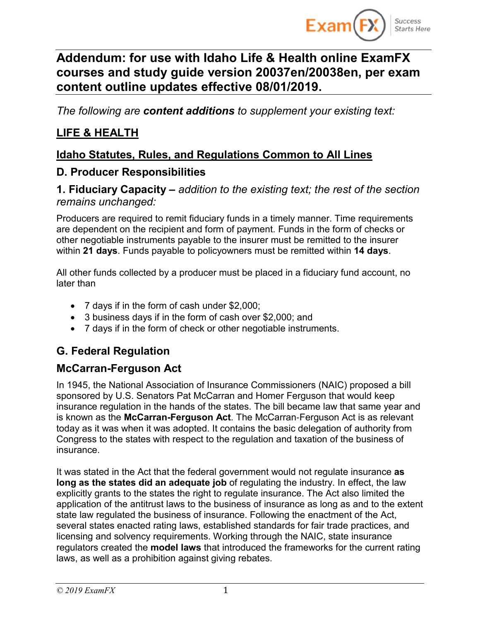

# **Addendum: for use with Idaho Life & Health online ExamFX courses and study guide version 20037en/20038en, per exam content outline updates effective 08/01/2019.**

*The following are content additions to supplement your existing text:*

## **LIFE & HEALTH**

### **Idaho Statutes, Rules, and Regulations Common to All Lines**

#### **D. Producer Responsibilities**

**1. Fiduciary Capacity –** *addition to the existing text; the rest of the section remains unchanged:*

Producers are required to remit fiduciary funds in a timely manner. Time requirements are dependent on the recipient and form of payment. Funds in the form of checks or other negotiable instruments payable to the insurer must be remitted to the insurer within **21 days**. Funds payable to policyowners must be remitted within **14 days**.

All other funds collected by a producer must be placed in a fiduciary fund account, no later than

- 7 days if in the form of cash under \$2,000;
- 3 business days if in the form of cash over \$2,000; and
- 7 days if in the form of check or other negotiable instruments.

## **G. Federal Regulation**

### **McCarran-Ferguson Act**

In 1945, the National Association of Insurance Commissioners (NAIC) proposed a bill sponsored by U.S. Senators Pat McCarran and Homer Ferguson that would keep insurance regulation in the hands of the states. The bill became law that same year and is known as the **McCarran-Ferguson Act**. The McCarran‐Ferguson Act is as relevant today as it was when it was adopted. It contains the basic delegation of authority from Congress to the states with respect to the regulation and taxation of the business of insurance.

It was stated in the Act that the federal government would not regulate insurance **as long as the states did an adequate job** of regulating the industry. In effect, the law explicitly grants to the states the right to regulate insurance. The Act also limited the application of the antitrust laws to the business of insurance as long as and to the extent state law regulated the business of insurance. Following the enactment of the Act, several states enacted rating laws, established standards for fair trade practices, and licensing and solvency requirements. Working through the NAIC, state insurance regulators created the **model laws** that introduced the frameworks for the current rating laws, as well as a prohibition against giving rebates.